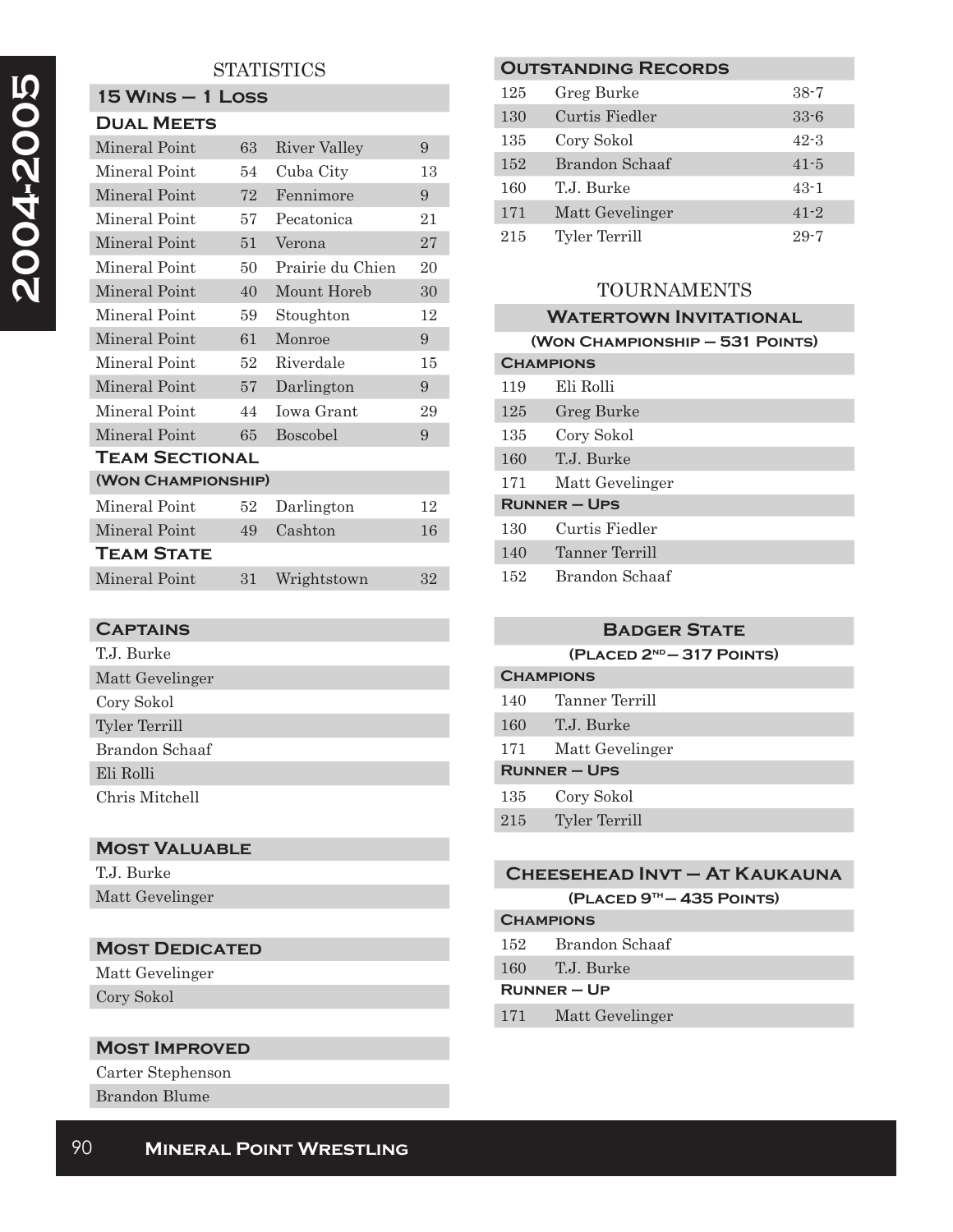# **STATISTICS**

| <b>15 WINS - 1 LOSS</b> |    |                     |    |
|-------------------------|----|---------------------|----|
| <b>DUAL MEETS</b>       |    |                     |    |
| Mineral Point           | 63 | <b>River Valley</b> | 9  |
| Mineral Point           | 54 | Cuba City           | 13 |
| Mineral Point           | 72 | Fennimore           | 9  |
| Mineral Point           | 57 | Pecatonica          | 21 |
| Mineral Point           | 51 | Verona              | 27 |
| Mineral Point           | 50 | Prairie du Chien    | 20 |
| Mineral Point           | 40 | Mount Horeb         | 30 |
| Mineral Point           | 59 | Stoughton           | 12 |
| Mineral Point           | 61 | Monroe              | 9  |
| Mineral Point           | 52 | Riverdale           | 15 |
| Mineral Point           | 57 | Darlington          | 9  |
| Mineral Point           | 44 | <b>Iowa Grant</b>   | 29 |
| Mineral Point           | 65 | Boscobel            | 9  |
| <b>TEAM SECTIONAL</b>   |    |                     |    |
| (WON CHAMPIONSHIP)      |    |                     |    |
| Mineral Point           | 52 | Darlington          | 12 |
| Mineral Point           | 49 | Cashton             | 16 |
| <b>TEAM STATE</b>       |    |                     |    |
| Mineral Point           | 31 | Wrightstown         | 32 |

### **Captains**

| T.J. Burke      |
|-----------------|
| Matt Gevelinger |
| Cory Sokol      |
| Tyler Terrill   |
| Brandon Schaaf  |
| Eli Rolli       |
| Chris Mitchell  |

## **Most Valuable**

| T.J. Burke      |
|-----------------|
| Matt Gevelinger |

### **MOST DEDICATED**

Matt Gevelinger Cory Sokol

### **Most Improved**

Carter Stephenson Brandon Blume

### **Outstanding Records**

| 125 | Greg Burke      | $38 - 7$ |
|-----|-----------------|----------|
| 130 | Curtis Fiedler  | $33 - 6$ |
| 135 | Cory Sokol      | $42 - 3$ |
| 152 | Brandon Schaaf  | $41 - 5$ |
| 160 | T.J. Burke      | $43-1$   |
| 171 | Matt Gevelinger | $41 - 2$ |
| 215 | Tyler Terrill   | $29 - 7$ |

## TOURNAMENTS

# **Watertown Invitational**

|                   | (WON CHAMPIONSHIP - 531 POINTS) |
|-------------------|---------------------------------|
| <b>CHAMPIONS</b>  |                                 |
| 119               | Eli Rolli                       |
| 125               | Greg Burke                      |
| 135               | Cory Sokol                      |
| 160               | T.J. Burke                      |
| 171               | Matt Gevelinger                 |
| <b>RUNNER-UPS</b> |                                 |
| 130               | Curtis Fiedler                  |
| 140               | Tanner Terrill                  |
| 152               | Brandon Schaaf                  |

# **Badger State**

**(Placed 2nd — 317 Points)**

| <b>CHAMPIONS</b>    |                      |
|---------------------|----------------------|
| 140                 | Tanner Terrill       |
| 160                 | T.J. Burke           |
| 171                 | Matt Gevelinger      |
| <b>RUNNER - UPS</b> |                      |
| 135                 | Cory Sokol           |
| 215                 | <b>Tyler Terrill</b> |

# **Cheesehead Invt – At Kaukauna**

**(Placed 9th — 435 Points)**

# **Champions** 152 Brandon Schaaf

160 T.J. Burke

#### **Runner – Up**

171 Matt Gevelinger